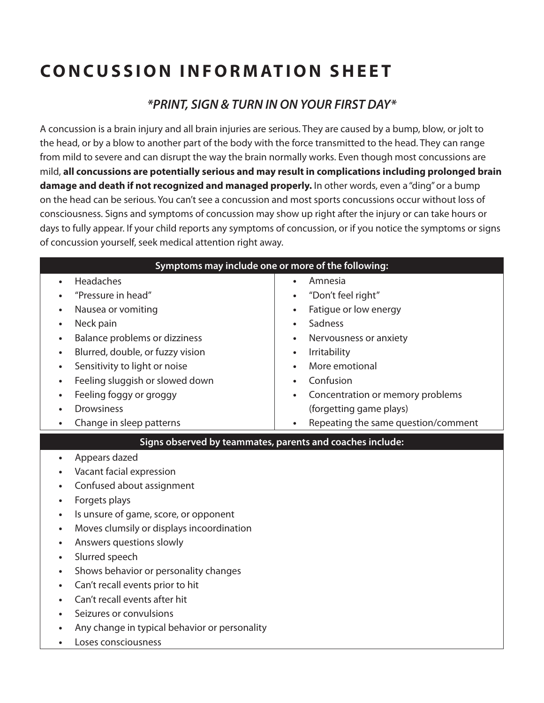## **CONCUSSION INFORMATION SHEET**

## *\*PRINT, SIGN & TURN IN ON YOUR FIRST DAY\**

A concussion is a brain injury and all brain injuries are serious. They are caused by a bump, blow, or jolt to the head, or by a blow to another part of the body with the force transmitted to the head. They can range from mild to severe and can disrupt the way the brain normally works. Even though most concussions are mild, **all concussions are potentially serious and may result in complications including prolonged brain damage and death if not recognized and managed properly.** In other words, even a "ding" or a bump on the head can be serious. You can't see a concussion and most sports concussions occur without loss of consciousness. Signs and symptoms of concussion may show up right after the injury or can take hours or days to fully appear. If your child reports any symptoms of concussion, or if you notice the symptoms or signs of concussion yourself, seek medical attention right away.

| Symptoms may include one or more of the following:                                                                                                                                                                                                                                                                                                                                                                                                                                                                                                                                                                                 |                                                                                                                                                                                                                                                         |  |  |
|------------------------------------------------------------------------------------------------------------------------------------------------------------------------------------------------------------------------------------------------------------------------------------------------------------------------------------------------------------------------------------------------------------------------------------------------------------------------------------------------------------------------------------------------------------------------------------------------------------------------------------|---------------------------------------------------------------------------------------------------------------------------------------------------------------------------------------------------------------------------------------------------------|--|--|
| Headaches<br>$\bullet$<br>"Pressure in head"<br>Nausea or vomiting<br>$\bullet$                                                                                                                                                                                                                                                                                                                                                                                                                                                                                                                                                    | Amnesia<br>$\bullet$<br>"Don't feel right"<br>Fatigue or low energy<br>$\bullet$                                                                                                                                                                        |  |  |
| Neck pain<br>$\bullet$<br>Balance problems or dizziness<br>$\bullet$<br>Blurred, double, or fuzzy vision<br>$\bullet$<br>Sensitivity to light or noise<br>$\bullet$<br>Feeling sluggish or slowed down<br>$\bullet$<br>Feeling foggy or groggy<br>$\bullet$<br><b>Drowsiness</b><br>Change in sleep patterns<br>$\bullet$                                                                                                                                                                                                                                                                                                          | Sadness<br>$\bullet$<br>Nervousness or anxiety<br>Irritability<br>$\bullet$<br>More emotional<br>$\bullet$<br>Confusion<br>$\bullet$<br>Concentration or memory problems<br>$\bullet$<br>(forgetting game plays)<br>Repeating the same question/comment |  |  |
| Signs observed by teammates, parents and coaches include:                                                                                                                                                                                                                                                                                                                                                                                                                                                                                                                                                                          |                                                                                                                                                                                                                                                         |  |  |
| Appears dazed<br>$\bullet$<br>Vacant facial expression<br>$\bullet$<br>Confused about assignment<br>$\bullet$<br>Forgets plays<br>$\bullet$<br>Is unsure of game, score, or opponent<br>$\bullet$<br>Moves clumsily or displays incoordination<br>$\bullet$<br>Answers questions slowly<br>$\bullet$<br>Slurred speech<br>$\bullet$<br>Shows behavior or personality changes<br>$\bullet$<br>Can't recall events prior to hit<br>$\bullet$<br>Can't recall events after hit<br>$\bullet$<br>Seizures or convulsions<br>$\bullet$<br>Any change in typical behavior or personality<br>$\bullet$<br>Loses consciousness<br>$\bullet$ |                                                                                                                                                                                                                                                         |  |  |